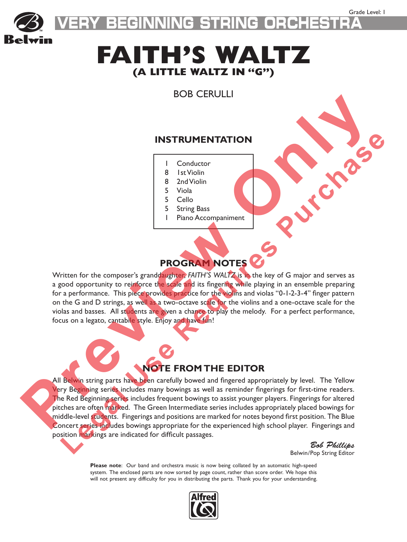

**AITH'S WA**I **(A LITTLE WALTZ IN "G")**

**VERY BEGINNING STRING ORCHESTRA**

BOB CERULLI

## **INSTRUMENTATION**

- 1 Conductor
- 8 1st Violin
- 8 2nd Violin
- 5 Viola
- 5 Cello
- 5 String Bass
- 1 Piano Accompaniment

## **PROGRAM NOTES**

Written for the composer's granddaughter, *FAITH'S* WALTZ is in the key of G major and serves as a good opportunity to reinforce the scale and its fingering while playing in an ensemble preparing for a performance. This piece provides practice for the violins and violas "0-1-2-3-4" finger pattern on the G and D strings, as well as a two-octave scale for the violins and a one-octave scale for the violas and basses. All students are given a chance to play the melody. For a perfect performance, focus on a legato, cantabile style. Enjoy and have fun!

## **NOTE FROM THE EDITOR**

All Belwin string parts have been carefully bowed and fingered appropriately by level. The Yellow Very Beginning series includes many bowings as well as reminder fingerings for first-time readers. The Red Beginning series includes frequent bowings to assist younger players. Fingerings for altered pitches are often marked. The Green Intermediate series includes appropriately placed bowings for middle-level students. Fingerings and positions are marked for notes beyond first position. The Blue Concert series includes bowings appropriate for the experienced high school player. Fingerings and position markings are indicated for difficult passages. Witten for the component angular states of the present and the parts. The control of the particle of the parts of the particle of the particle of the particle of the particle of the particle of the particle of the particle

Bob Phillips Belwin/Pop String Editor

**Legal User** 

**Please note**: Our band and orchestra music is now being collated by an automatic high-speed system. The enclosed parts are now sorted by page count, rather than score order. We hope this

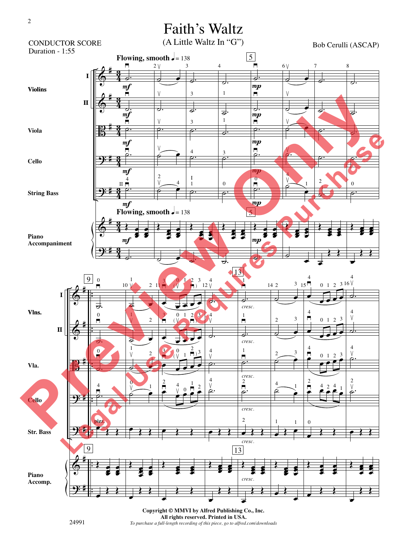

**All rights reserved. Printed in USA.** *To purchase a full-length recording of this piece, go to alfred.com/downloads*

24991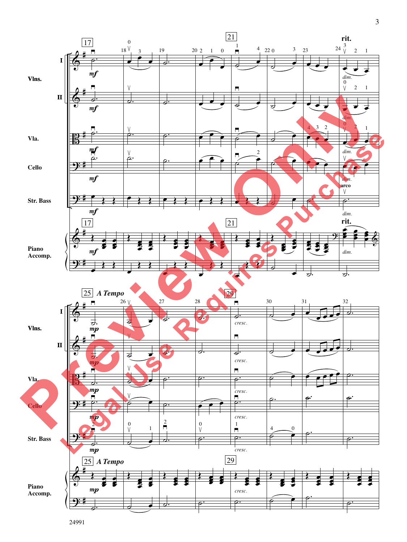

3

24991